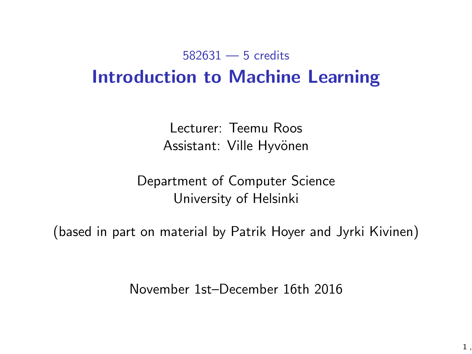#### 582631 — 5 credits Introduction to Machine Learning

Lecturer: Teemu Roos Assistant: Ville Hyvönen

Department of Computer Science University of Helsinki

(based in part on material by Patrik Hoyer and Jyrki Kivinen)

November 1st–December 16th 2016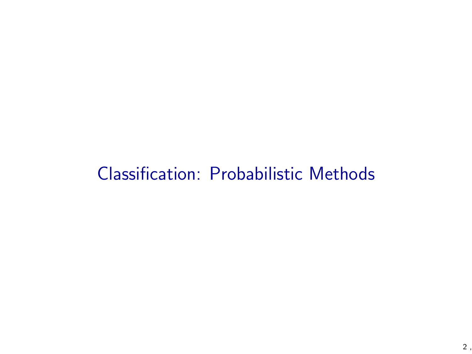### Classification: Probabilistic Methods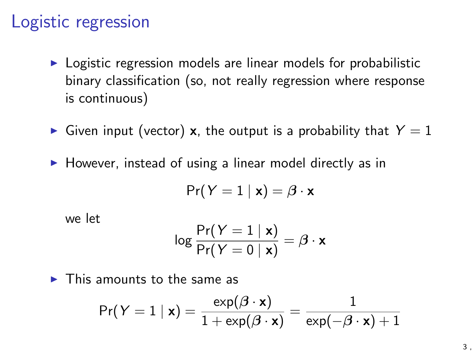#### Logistic regression

- $\triangleright$  Logistic regression models are linear models for probabilistic binary classification (so, not really regression where response is continuous)
- Given input (vector) x, the output is a probability that  $Y = 1$
- $\blacktriangleright$  However, instead of using a linear model directly as in

$$
\Pr(Y=1 | \mathbf{x}) = \beta \cdot \mathbf{x}
$$

we let

$$
\log\frac{\mathsf{Pr}(Y=1\mid \mathbf{x})}{\mathsf{Pr}(Y=0\mid \mathbf{x})} = \boldsymbol{\beta}\cdot\mathbf{x}
$$

 $\blacktriangleright$  This amounts to the same as

$$
\Pr(Y = 1 | \mathbf{x}) = \frac{\exp(\beta \cdot \mathbf{x})}{1 + \exp(\beta \cdot \mathbf{x})} = \frac{1}{\exp(-\beta \cdot \mathbf{x}) + 1}
$$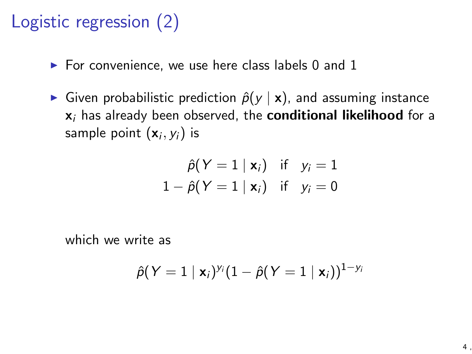### Logistic regression (2)

- $\blacktriangleright$  For convenience, we use here class labels 0 and 1
- Given probabilistic prediction  $\hat{p}(y | x)$ , and assuming instance x*<sup>i</sup>* has already been observed, the conditional likelihood for a sample point (x*i, yi*) is

$$
\hat{\rho}(Y = 1 | \mathbf{x}_i) \quad \text{if} \quad y_i = 1
$$
\n
$$
1 - \hat{\rho}(Y = 1 | \mathbf{x}_i) \quad \text{if} \quad y_i = 0
$$

which we write as

$$
\hat{\rho}(Y=1\mid \mathbf{x}_i)^{y_i}(1-\hat{\rho}(Y=1\mid \mathbf{x}_i))^{1-y_i}
$$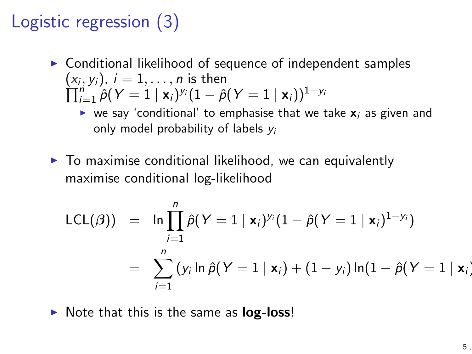# Logistic regression (3)

- $\triangleright$  Conditional likelihood of sequence of independent samples  $(x_i, v_i)$ ,  $i = 1, \ldots, n$  is then  $\prod_{i=1}^{N} \hat{\rho}(Y = 1 | \mathbf{x}_i)^{y_i} (1 - \hat{\rho}(Y = 1 | \mathbf{x}_i))^{1-y_i}$ 
	- $\triangleright$  we say 'conditional' to emphasise that we take  $x_i$  as given and only model probability of labels *y<sup>i</sup>*
- $\blacktriangleright$  To maximise conditional likelihood, we can equivalently maximise conditional log-likelihood

$$
LCL(\beta) = \ln \prod_{i=1}^{n} \hat{p}(Y = 1 | \mathbf{x}_i)^{y_i} (1 - \hat{p}(Y = 1 | \mathbf{x}_i)^{1 - y_i})
$$
  
= 
$$
\sum_{i=1}^{n} (y_i \ln \hat{p}(Y = 1 | \mathbf{x}_i) + (1 - y_i) \ln(1 - \hat{p}(Y = 1 | \mathbf{x}_i))
$$

 $\triangleright$  Note that this is the same as  $log-loss!$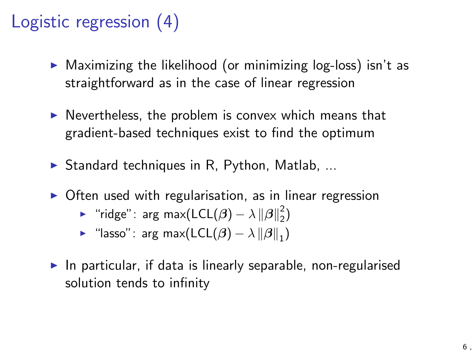# Logistic regression (4)

- $\triangleright$  Maximizing the likelihood (or minimizing log-loss) isn't as straightforward as in the case of linear regression
- $\triangleright$  Nevertheless, the problem is convex which means that gradient-based techniques exist to find the optimum
- $\triangleright$  Standard techniques in R, Python, Matlab, ...
- $\triangleright$  Often used with regularisation, as in linear regression
	- ► "ridge": arg max(LCL( $\beta$ )  $\lambda \left\| \beta \right\|_2^2$ )
	- **In** "lasso": arg max( $\mathsf{LCL}(\beta) \lambda \|\beta\|_1$ )
- In particular, if data is linearly separable, non-regularised solution tends to infinity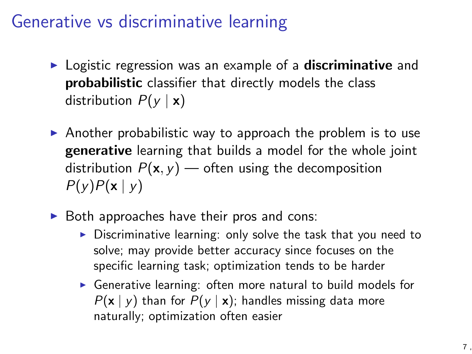#### Generative vs discriminative learning

- $\triangleright$  Logistic regression was an example of a **discriminative** and probabilistic classifier that directly models the class distribution  $P(y | x)$
- $\triangleright$  Another probabilistic way to approach the problem is to use generative learning that builds a model for the whole joint distribution  $P(x, y)$  — often using the decomposition *P*(*y*)*P*(x *| y*)
- $\triangleright$  Both approaches have their pros and cons:
	- $\triangleright$  Discriminative learning: only solve the task that you need to solve; may provide better accuracy since focuses on the specific learning task; optimization tends to be harder
	- $\triangleright$  Generative learning: often more natural to build models for  $P(x | y)$  than for  $P(y | x)$ ; handles missing data more naturally; optimization often easier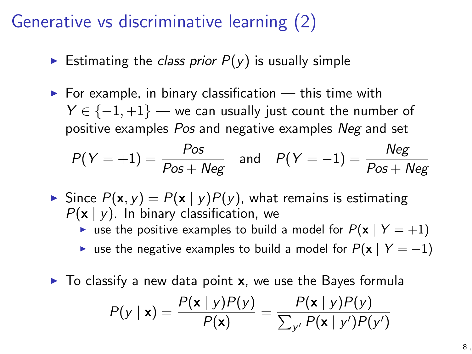#### Generative vs discriminative learning (2)

- Estimating the *class prior*  $P(y)$  is usually simple
- $\triangleright$  For example, in binary classification  $-$  this time with  $Y \in \{-1, +1\}$  — we can usually just count the number of positive examples *Pos* and negative examples *Neg* and set

$$
P(Y = +1) = \frac{Pos}{Pos + Neg} \quad \text{and} \quad P(Y = -1) = \frac{Neg}{Pos + Neg}
$$

- $\triangleright$  Since  $P(\mathbf{x}, y) = P(\mathbf{x} | y)P(y)$ , what remains is estimating *P*(x *| y*). In binary classification, we
	- **•** use the positive examples to build a model for  $P(\mathbf{x} | Y = +1)$
	- **E** use the negative examples to build a model for  $P(x | Y = -1)$
- $\triangleright$  To classify a new data point **x**, we use the Bayes formula

$$
P(y \mid \mathbf{x}) = \frac{P(\mathbf{x} \mid y)P(y)}{P(\mathbf{x})} = \frac{P(\mathbf{x} \mid y)P(y)}{\sum_{y'} P(\mathbf{x} \mid y')P(y')}
$$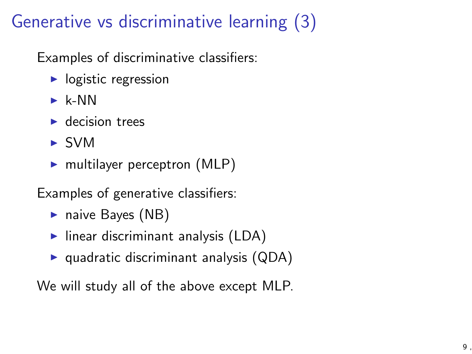# Generative vs discriminative learning (3)

Examples of discriminative classifiers:

- $\blacktriangleright$  logistic regression
- $\blacktriangleright$  k-NN
- $\blacktriangleright$  decision trees
- $\triangleright$  SVM
- $\blacktriangleright$  multilayer perceptron (MLP)

Examples of generative classifiers:

- $\blacktriangleright$  naive Bayes (NB)
- $\blacktriangleright$  linear discriminant analysis (LDA)
- $\triangleright$  quadratic discriminant analysis (QDA)

We will study all of the above except MLP.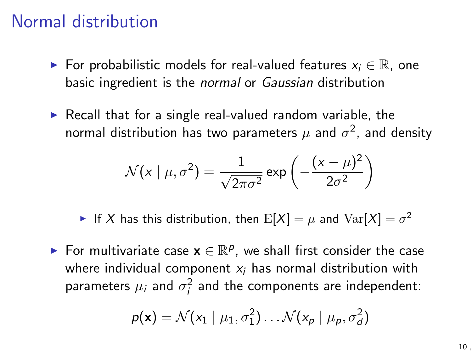#### Normal distribution

- $\blacktriangleright$  For probabilistic models for real-valued features  $x_i \in \mathbb{R}$ , one basic ingredient is the *normal* or *Gaussian* distribution
- $\triangleright$  Recall that for a single real-valued random variable, the normal distribution has two parameters  $\mu$  and  $\sigma^2$ , and density

$$
\mathcal{N}(x \mid \mu, \sigma^2) = \frac{1}{\sqrt{2\pi\sigma^2}} \exp\left(-\frac{(x-\mu)^2}{2\sigma^2}\right)
$$

If *X* has this distribution, then  $E[X] = \mu$  and  $Var[X] = \sigma^2$ 

For multivariate case  $\mathbf{x} \in \mathbb{R}^p$ , we shall first consider the case where individual component *x<sup>i</sup>* has normal distribution with parameters  $\mu_i$  and  $\sigma_i^2$  and the components are independent:

$$
p(\mathbf{x}) = \mathcal{N}(x_1 \mid \mu_1, \sigma_1^2) \dots \mathcal{N}(x_p \mid \mu_p, \sigma_d^2)
$$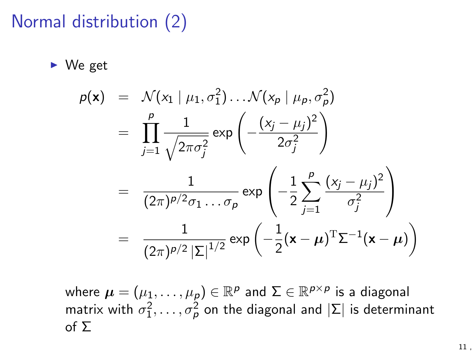# Normal distribution (2)

 $\blacktriangleright$  We get

$$
p(\mathbf{x}) = \mathcal{N}(x_1 | \mu_1, \sigma_1^2) \dots \mathcal{N}(x_p | \mu_p, \sigma_p^2)
$$
  
= 
$$
\prod_{j=1}^p \frac{1}{\sqrt{2\pi\sigma_j^2}} \exp\left(-\frac{(x_j - \mu_j)^2}{2\sigma_j^2}\right)
$$
  
= 
$$
\frac{1}{(2\pi)^{p/2}\sigma_1 \dots \sigma_p} \exp\left(-\frac{1}{2}\sum_{j=1}^p \frac{(x_j - \mu_j)^2}{\sigma_j^2}\right)
$$
  
= 
$$
\frac{1}{(2\pi)^{p/2} |\Sigma|^{1/2}} \exp\left(-\frac{1}{2}(\mathbf{x} - \boldsymbol{\mu})^T \Sigma^{-1}(\mathbf{x} - \boldsymbol{\mu})\right)
$$

where  $\mu = (\mu_1, \ldots, \mu_p) \in \mathbb{R}^p$  and  $\Sigma \in \mathbb{R}^{p \times p}$  is a diagonal matrix with  $\sigma_1^2,\ldots,\sigma_p^2$  on the diagonal and  $|\Sigma|$  is determinant of  $\Sigma$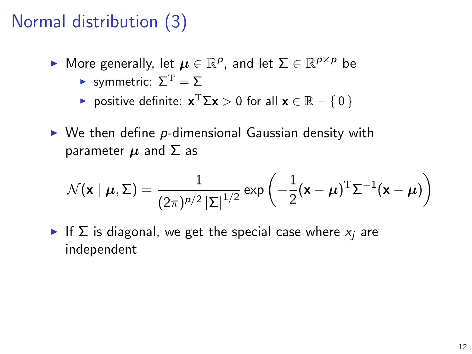# Normal distribution (3)

- **If** More generally, let  $\mu \in \mathbb{R}^p$ , and let  $\Sigma \in \mathbb{R}^{p \times p}$  be
	- Symmetric:  $\Sigma^{\mathrm{T}} = \Sigma$
	- **P** positive definite:  $\mathbf{x}^T \Sigma \mathbf{x} > 0$  for all  $\mathbf{x} \in \mathbb{R} \{0\}$
- ▶ We then define p-dimensional Gaussian density with parameter  $\mu$  and  $\Sigma$  as

$$
\mathcal{N}(\mathbf{x} \mid \boldsymbol{\mu}, \boldsymbol{\Sigma}) = \frac{1}{(2\pi)^{p/2} |\boldsymbol{\Sigma}|^{1/2}} \exp \left(-\frac{1}{2}(\mathbf{x} - \boldsymbol{\mu})^{\mathrm{T}} \boldsymbol{\Sigma}^{-1}(\mathbf{x} - \boldsymbol{\mu})\right)
$$

If  $\Sigma$  is diagonal, we get the special case where  $x_i$  are independent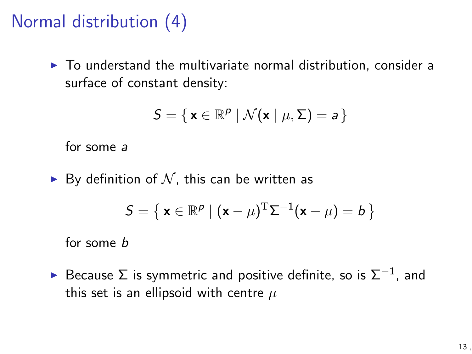# Normal distribution (4)

 $\triangleright$  To understand the multivariate normal distribution, consider a surface of constant density:

$$
S = \{ \mathbf{x} \in \mathbb{R}^p \mid \mathcal{N}(\mathbf{x} \mid \mu, \Sigma) = a \}
$$

for some *a*

 $\blacktriangleright$  By definition of  $\mathcal N$ , this can be written as

$$
S = \left\{ \mathbf{x} \in \mathbb{R}^p \mid (\mathbf{x} - \mu)^{\mathrm{T}} \Sigma^{-1} (\mathbf{x} - \mu) = b \right\}
$$

for some *b*

Because  $\Sigma$  is symmetric and positive definite, so is  $\Sigma^{-1}$ , and this set is an ellipsoid with centre *µ*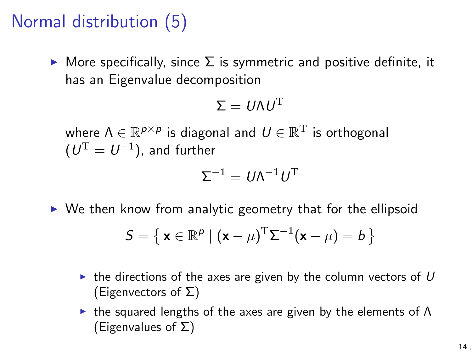# Normal distribution (5)

 $\triangleright$  More specifically, since  $\Sigma$  is symmetric and positive definite, it has an Eigenvalue decomposition

$$
\Sigma = U \Lambda U^{\mathrm{T}}
$$

where  $\Lambda \in \mathbb{R}^{p \times p}$  is diagonal and  $U \in \mathbb{R}^{T}$  is orthogonal  $(U^{\mathrm{T}} = U^{-1})$ , and further

$$
\Sigma^{-1}=U\Lambda^{-1}U^{\rm T}
$$

 $\triangleright$  We then know from analytic geometry that for the ellipsoid

$$
S = \left\{ \mathbf{x} \in \mathbb{R}^p \mid (\mathbf{x} - \mu)^{\mathrm{T}} \Sigma^{-1} (\mathbf{x} - \mu) = b \right\}
$$

- $\triangleright$  the directions of the axes are given by the column vectors of  $U$ (Eigenvectors of  $\Sigma$ )
- In the squared lengths of the axes are given by the elements of  $\Lambda$ (Eigenvalues of  $\Sigma$ )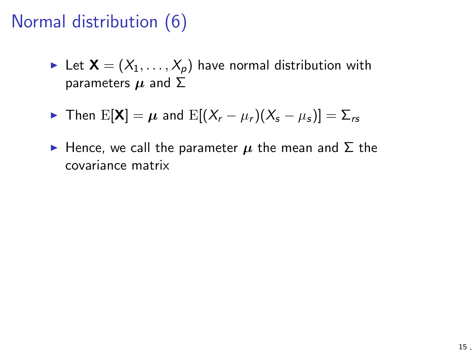# Normal distribution (6)

External Let  $X = (X_1, \ldots, X_p)$  have normal distribution with parameters  $\mu$  and  $\Sigma$ 

$$
\triangleright \text{ Then } E[\mathbf{X}] = \mu \text{ and } E[(X_r - \mu_r)(X_s - \mu_s)] = \Sigma_{rs}
$$

 $\blacktriangleright$  Hence, we call the parameter  $\mu$  the mean and  $\Sigma$  the covariance matrix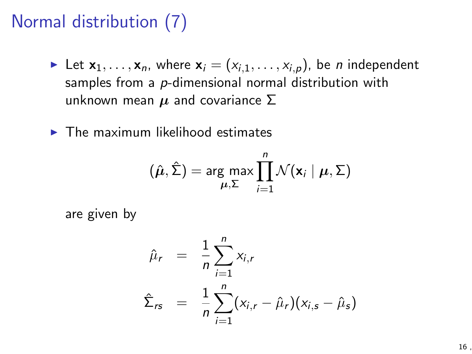# Normal distribution (7)

- In Let  $x_1, \ldots, x_n$ , where  $x_i = (x_{i,1}, \ldots, x_{i,p})$ , be *n* independent samples from a *p*-dimensional normal distribution with unknown mean  $\mu$  and covariance  $\Sigma$
- $\blacktriangleright$  The maximum likelihood estimates

$$
(\hat{\boldsymbol{\mu}}, \hat{\boldsymbol{\Sigma}}) = \arg \max_{\boldsymbol{\mu}, \boldsymbol{\Sigma}} \prod_{i=1}^{n} \mathcal{N}(\mathbf{x}_i \mid \boldsymbol{\mu}, \boldsymbol{\Sigma})
$$

are given by

$$
\hat{\mu}_r = \frac{1}{n} \sum_{i=1}^n x_{i,r}
$$
\n
$$
\hat{\Sigma}_{rs} = \frac{1}{n} \sum_{i=1}^n (x_{i,r} - \hat{\mu}_r)(x_{i,s} - \hat{\mu}_s)
$$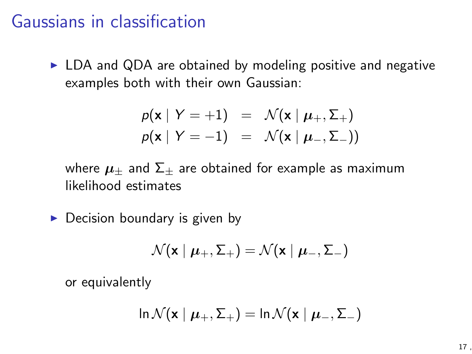#### Gaussians in classification

 $\triangleright$  LDA and QDA are obtained by modeling positive and negative examples both with their own Gaussian:

$$
p(\mathbf{x} | Y = +1) = \mathcal{N}(\mathbf{x} | \boldsymbol{\mu}_{+}, \boldsymbol{\Sigma}_{+})
$$

$$
p(\mathbf{x} | Y = -1) = \mathcal{N}(\mathbf{x} | \boldsymbol{\mu}_{-}, \boldsymbol{\Sigma}_{-}))
$$

where  $\mu_{+}$  and  $\Sigma_{+}$  are obtained for example as maximum likelihood estimates

 $\triangleright$  Decision boundary is given by

$$
\mathcal{N}(\textbf{x} \mid \boldsymbol{\mu}_+, \boldsymbol{\Sigma}_+) = \mathcal{N}(\textbf{x} \mid \boldsymbol{\mu}_-, \boldsymbol{\Sigma}_-)
$$

or equivalently

$$
\ln \mathcal{N}(\mathbf{x} \mid \boldsymbol{\mu}_+, \boldsymbol{\Sigma}_+) = \ln \mathcal{N}(\mathbf{x} \mid \boldsymbol{\mu}_-, \boldsymbol{\Sigma}_-)
$$